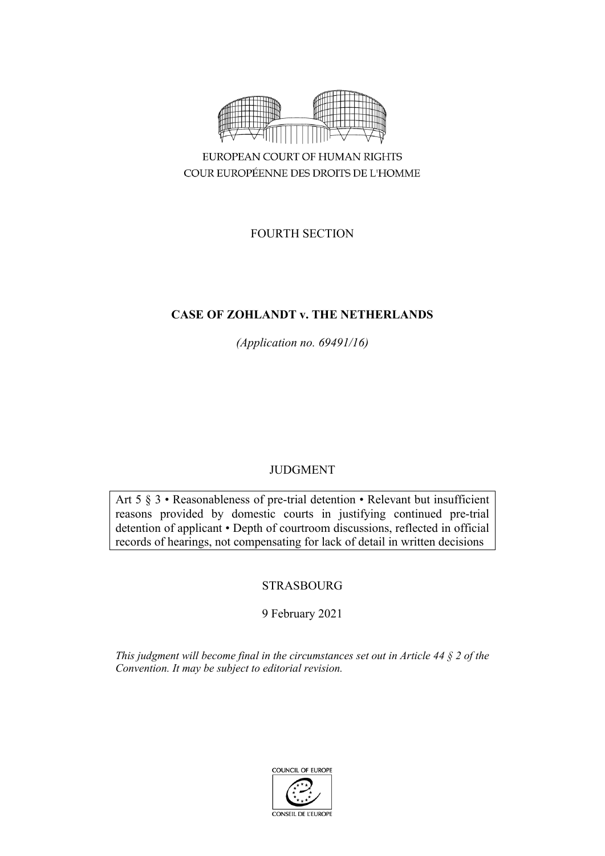

FOURTH SECTION

# **CASE OF ZOHLANDT v. THE NETHERLANDS**

*(Application no. 69491/16)*

# JUDGMENT

Art 5 § 3 • Reasonableness of pre-trial detention • Relevant but insufficient reasons provided by domestic courts in justifying continued pre-trial detention of applicant • Depth of courtroom discussions, reflected in official records of hearings, not compensating for lack of detail in written decisions

# STRASBOURG

# 9 February 2021

*This judgment will become final in the circumstances set out in Article 44 § 2 of the Convention. It may be subject to editorial revision.*

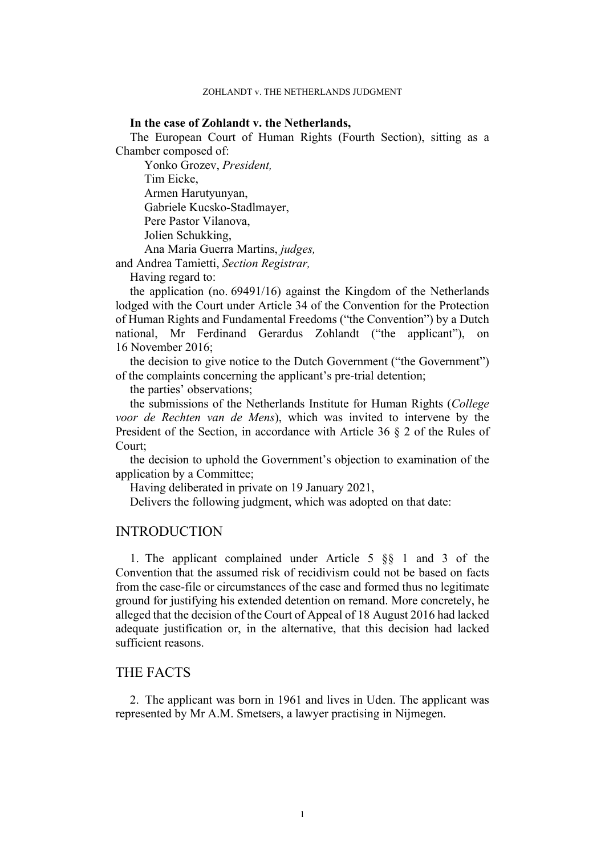### **In the case of Zohlandt v. the Netherlands,**

The European Court of Human Rights (Fourth Section), sitting as a Chamber composed of:

Yonko Grozev, *President,* Tim Eicke, Armen Harutyunyan, Gabriele Kucsko-Stadlmayer, Pere Pastor Vilanova, Jolien Schukking, Ana Maria Guerra Martins, *judges,*

and Andrea Tamietti, *Section Registrar,*

Having regard to:

the application (no. 69491/16) against the Kingdom of the Netherlands lodged with the Court under Article 34 of the Convention for the Protection of Human Rights and Fundamental Freedoms ("the Convention") by a Dutch national, Mr Ferdinand Gerardus Zohlandt ("the applicant"), 16 November 2016;

the decision to give notice to the Dutch Government ("the Government") of the complaints concerning the applicant's pre-trial detention;

the parties' observations;

the submissions of the Netherlands Institute for Human Rights (*College voor de Rechten van de Mens*), which was invited to intervene by the President of the Section, in accordance with Article 36 § 2 of the Rules of Court;

the decision to uphold the Government's objection to examination of the application by a Committee;

Having deliberated in private on 19 January 2021,

Delivers the following judgment, which was adopted on that date:

# **INTRODUCTION**

1. The applicant complained under Article 5 §§ 1 and 3 of the Convention that the assumed risk of recidivism could not be based on facts from the case-file or circumstances of the case and formed thus no legitimate ground for justifying his extended detention on remand. More concretely, he alleged that the decision of the Court of Appeal of 18 August 2016 had lacked adequate justification or, in the alternative, that this decision had lacked sufficient reasons.

## THE FACTS

2. The applicant was born in 1961 and lives in Uden. The applicant was represented by Mr A.M. Smetsers, a lawyer practising in Nijmegen.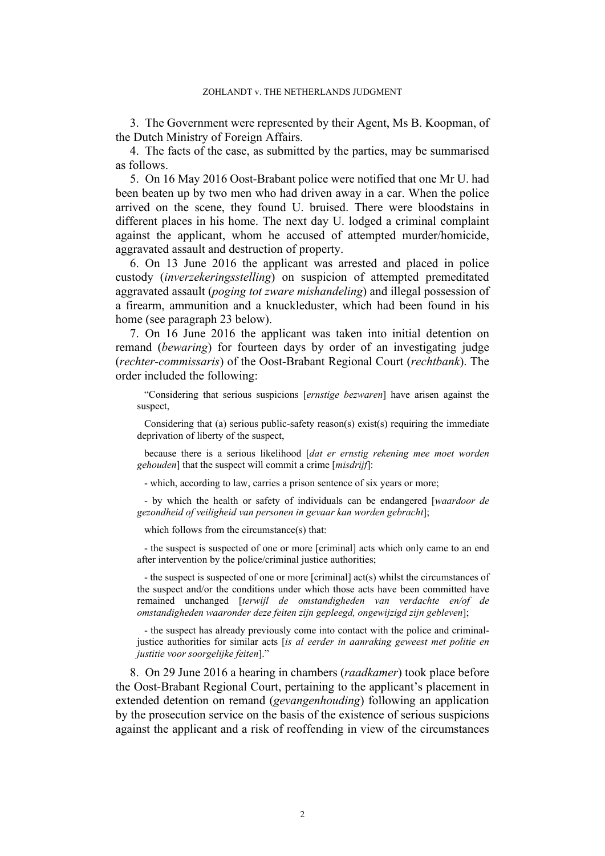3. The Government were represented by their Agent, Ms B. Koopman, of the Dutch Ministry of Foreign Affairs.

4. The facts of the case, as submitted by the parties, may be summarised as follows.

5. On 16 May 2016 Oost-Brabant police were notified that one Mr U. had been beaten up by two men who had driven away in a car. When the police arrived on the scene, they found U. bruised. There were bloodstains in different places in his home. The next day U. lodged a criminal complaint against the applicant, whom he accused of attempted murder/homicide, aggravated assault and destruction of property.

6. On 13 June 2016 the applicant was arrested and placed in police custody (*inverzekeringsstelling*) on suspicion of attempted premeditated aggravated assault (*poging tot zware mishandeling*) and illegal possession of a firearm, ammunition and a knuckleduster, which had been found in his home (see paragraph [23](#page-8-0) below).

<span id="page-3-0"></span>7. On 16 June 2016 the applicant was taken into initial detention on remand (*bewaring*) for fourteen days by order of an investigating judge (*rechter-commissaris*) of the Oost-Brabant Regional Court (*rechtbank*). The order included the following:

"Considering that serious suspicions [*ernstige bezwaren*] have arisen against the suspect,

Considering that (a) serious public-safety reason(s) exist(s) requiring the immediate deprivation of liberty of the suspect,

because there is a serious likelihood [*dat er ernstig rekening mee moet worden gehouden*] that the suspect will commit a crime [*misdrijf*]:

- which, according to law, carries a prison sentence of six years or more;

- by which the health or safety of individuals can be endangered [*waardoor de gezondheid of veiligheid van personen in gevaar kan worden gebracht*];

which follows from the circumstance(s) that:

- the suspect is suspected of one or more [criminal] acts which only came to an end after intervention by the police/criminal justice authorities;

- the suspect is suspected of one or more [criminal] act(s) whilst the circumstances of the suspect and/or the conditions under which those acts have been committed have remained unchanged [*terwijl de omstandigheden van verdachte en/of de omstandigheden waaronder deze feiten zijn gepleegd, ongewijzigd zijn gebleven*];

- the suspect has already previously come into contact with the police and criminaljustice authorities for similar acts [*is al eerder in aanraking geweest met politie en justitie voor soorgelijke feiten*]."

8. On 29 June 2016 a hearing in chambers (*raadkamer*) took place before the Oost-Brabant Regional Court, pertaining to the applicant's placement in extended detention on remand (*gevangenhouding*) following an application by the prosecution service on the basis of the existence of serious suspicions against the applicant and a risk of reoffending in view of the circumstances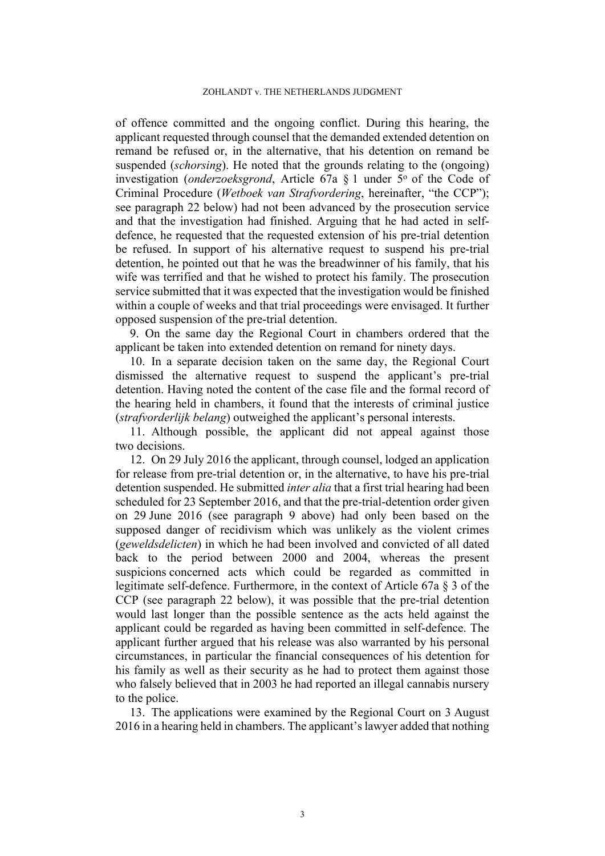of offence committed and the ongoing conflict. During this hearing, the applicant requested through counsel that the demanded extended detention on remand be refused or, in the alternative, that his detention on remand be suspended (*schorsing*). He noted that the grounds relating to the (ongoing) investigation (*onderzoeksgrond*, Article 67a § 1 under 5° of the Code of Criminal Procedure (*Wetboek van Strafvordering*, hereinafter, "the CCP"); see paragraph [22](#page-7-0) below) had not been advanced by the prosecution service and that the investigation had finished. Arguing that he had acted in selfdefence, he requested that the requested extension of his pre-trial detention be refused. In support of his alternative request to suspend his pre-trial detention, he pointed out that he was the breadwinner of his family, that his wife was terrified and that he wished to protect his family. The prosecution service submitted that it was expected that the investigation would be finished within a couple of weeks and that trial proceedings were envisaged. It further opposed suspension of the pre-trial detention.

<span id="page-4-0"></span>9. On the same day the Regional Court in chambers ordered that the applicant be taken into extended detention on remand for ninety days.

10. In a separate decision taken on the same day, the Regional Court dismissed the alternative request to suspend the applicant's pre-trial detention. Having noted the content of the case file and the formal record of the hearing held in chambers, it found that the interests of criminal justice (*strafvorderlijk belang*) outweighed the applicant's personal interests.

<span id="page-4-1"></span>11. Although possible, the applicant did not appeal against those two decisions.

<span id="page-4-2"></span>12. On 29 July 2016 the applicant, through counsel, lodged an application for release from pre-trial detention or, in the alternative, to have his pre-trial detention suspended. He submitted *inter alia* that a first trial hearing had been scheduled for 23 September 2016, and that the pre-trial-detention order given on 29 June 2016 (see paragraph [9](#page-4-0) above) had only been based on the supposed danger of recidivism which was unlikely as the violent crimes (*geweldsdelicten*) in which he had been involved and convicted of all dated back to the period between 2000 and 2004, whereas the present suspicions concerned acts which could be regarded as committed in legitimate self-defence. Furthermore, in the context of Article 67a § 3 of the CCP (see paragraph [22](#page-7-0) below), it was possible that the pre-trial detention would last longer than the possible sentence as the acts held against the applicant could be regarded as having been committed in self-defence. The applicant further argued that his release was also warranted by his personal circumstances, in particular the financial consequences of his detention for his family as well as their security as he had to protect them against those who falsely believed that in 2003 he had reported an illegal cannabis nursery to the police.

13. The applications were examined by the Regional Court on 3 August 2016 in a hearing held in chambers. The applicant'slawyer added that nothing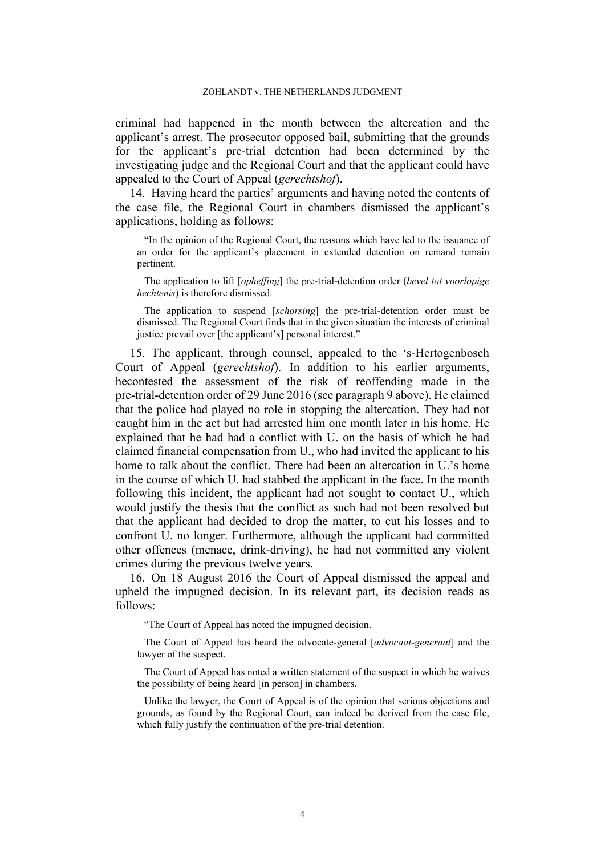criminal had happened in the month between the altercation and the applicant's arrest. The prosecutor opposed bail, submitting that the grounds for the applicant's pre-trial detention had been determined by the investigating judge and the Regional Court and that the applicant could have appealed to the Court of Appeal (*gerechtshof*).

<span id="page-5-2"></span>14. Having heard the parties' arguments and having noted the contents of the case file, the Regional Court in chambers dismissed the applicant's applications, holding as follows:

"In the opinion of the Regional Court, the reasons which have led to the issuance of an order for the applicant's placement in extended detention on remand remain pertinent.

The application to lift [*opheffing*] the pre-trial-detention order (*bevel tot voorlopige hechtenis*) is therefore dismissed.

The application to suspend [*schorsing*] the pre-trial-detention order must be dismissed. The Regional Court finds that in the given situation the interests of criminal justice prevail over [the applicant's] personal interest."

<span id="page-5-1"></span>15. The applicant, through counsel, appealed to the 's-Hertogenbosch Court of Appeal (*gerechtshof*). In addition to his earlier arguments, hecontested the assessment of the risk of reoffending made in the pre-trial-detention order of 29 June 2016 (see paragraph [9](#page-4-0) above). He claimed that the police had played no role in stopping the altercation. They had not caught him in the act but had arrested him one month later in his home. He explained that he had had a conflict with U. on the basis of which he had claimed financial compensation from U., who had invited the applicant to his home to talk about the conflict. There had been an altercation in U.'s home in the course of which U. had stabbed the applicant in the face. In the month following this incident, the applicant had not sought to contact U., which would justify the thesis that the conflict as such had not been resolved but that the applicant had decided to drop the matter, to cut his losses and to confront U. no longer. Furthermore, although the applicant had committed other offences (menace, drink-driving), he had not committed any violent crimes during the previous twelve years.

<span id="page-5-0"></span>16. On 18 August 2016 the Court of Appeal dismissed the appeal and upheld the impugned decision. In its relevant part, its decision reads as follows:

"The Court of Appeal has noted the impugned decision.

The Court of Appeal has heard the advocate-general [*advocaat-generaal*] and the lawyer of the suspect.

The Court of Appeal has noted a written statement of the suspect in which he waives the possibility of being heard [in person] in chambers.

Unlike the lawyer, the Court of Appeal is of the opinion that serious objections and grounds, as found by the Regional Court, can indeed be derived from the case file, which fully justify the continuation of the pre-trial detention.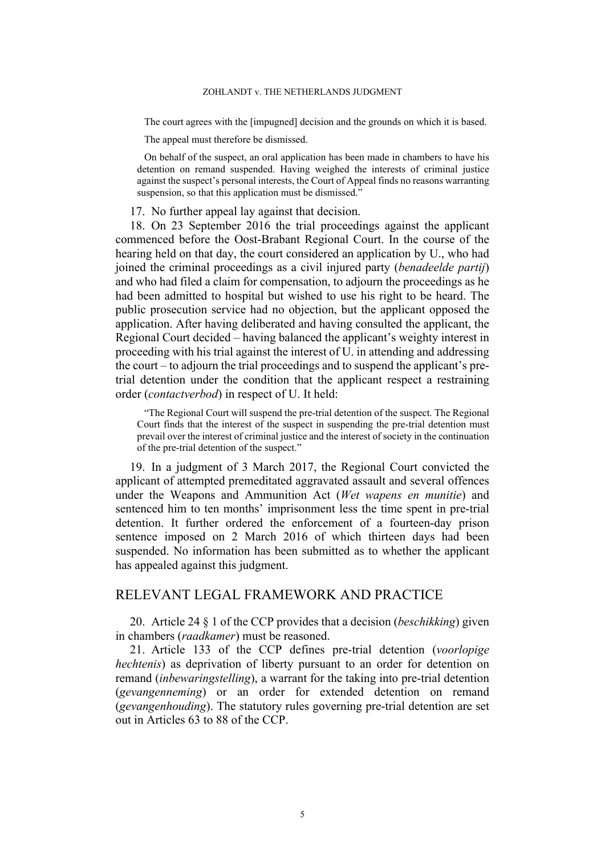The court agrees with the [impugned] decision and the grounds on which it is based.

The appeal must therefore be dismissed.

On behalf of the suspect, an oral application has been made in chambers to have his detention on remand suspended. Having weighed the interests of criminal justice against the suspect's personal interests, the Court of Appeal finds no reasons warranting suspension, so that this application must be dismissed."

<span id="page-6-0"></span>17. No further appeal lay against that decision.

18. On 23 September 2016 the trial proceedings against the applicant commenced before the Oost-Brabant Regional Court. In the course of the hearing held on that day, the court considered an application by U., who had joined the criminal proceedings as a civil injured party (*benadeelde partij*) and who had filed a claim for compensation, to adjourn the proceedings as he had been admitted to hospital but wished to use his right to be heard. The public prosecution service had no objection, but the applicant opposed the application. After having deliberated and having consulted the applicant, the Regional Court decided – having balanced the applicant's weighty interest in proceeding with his trial against the interest of U. in attending and addressing the court – to adjourn the trial proceedings and to suspend the applicant's pretrial detention under the condition that the applicant respect a restraining order (*contactverbod*) in respect of U. It held:

"The Regional Court will suspend the pre-trial detention of the suspect. The Regional Court finds that the interest of the suspect in suspending the pre-trial detention must prevail over the interest of criminal justice and the interest of society in the continuation of the pre-trial detention of the suspect."

19. In a judgment of 3 March 2017, the Regional Court convicted the applicant of attempted premeditated aggravated assault and several offences under the Weapons and Ammunition Act (*Wet wapens en munitie*) and sentenced him to ten months' imprisonment less the time spent in pre-trial detention. It further ordered the enforcement of a fourteen-day prison sentence imposed on 2 March 2016 of which thirteen days had been suspended. No information has been submitted as to whether the applicant has appealed against this judgment.

# RELEVANT LEGAL FRAMEWORK AND PRACTICE

<span id="page-6-1"></span>20. Article 24 § 1 of the CCP provides that a decision (*beschikking*) given in chambers (*raadkamer*) must be reasoned.

21. Article 133 of the CCP defines pre-trial detention (*voorlopige hechtenis*) as deprivation of liberty pursuant to an order for detention on remand (*inbewaringstelling*), a warrant for the taking into pre-trial detention (*gevangenneming*) or an order for extended detention on remand (*gevangenhouding*). The statutory rules governing pre-trial detention are set out in Articles 63 to 88 of the CCP.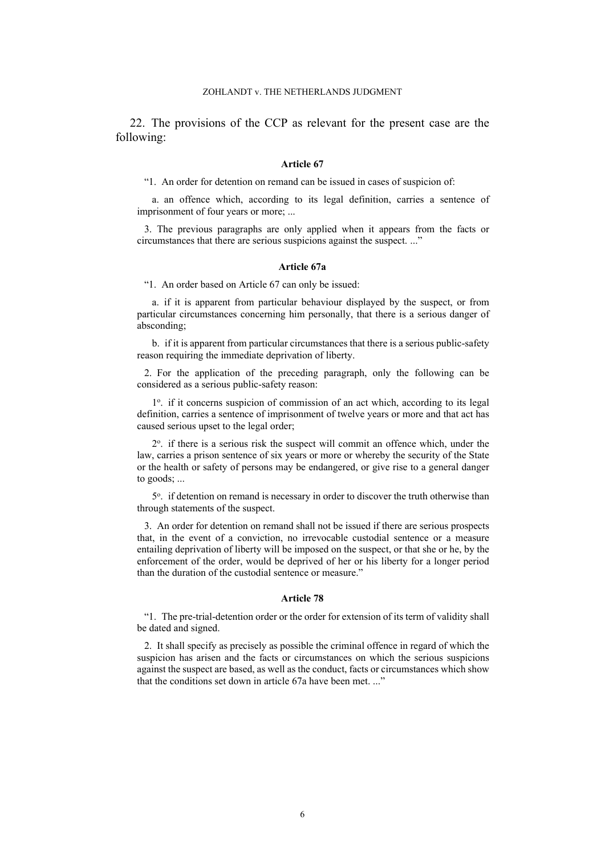<span id="page-7-0"></span>22. The provisions of the CCP as relevant for the present case are the following:

#### **Article 67**

"1. An order for detention on remand can be issued in cases of suspicion of:

a. an offence which, according to its legal definition, carries a sentence of imprisonment of four years or more; ...

3. The previous paragraphs are only applied when it appears from the facts or circumstances that there are serious suspicions against the suspect. ..."

#### **Article 67a**

"1. An order based on Article 67 can only be issued:

a. if it is apparent from particular behaviour displayed by the suspect, or from particular circumstances concerning him personally, that there is a serious danger of absconding;

b. if it is apparent from particular circumstances that there is a serious public-safety reason requiring the immediate deprivation of liberty.

2. For the application of the preceding paragraph, only the following can be considered as a serious public-safety reason:

1<sup>o</sup>. if it concerns suspicion of commission of an act which, according to its legal definition, carries a sentence of imprisonment of twelve years or more and that act has caused serious upset to the legal order;

2 o . if there is a serious risk the suspect will commit an offence which, under the law, carries a prison sentence of six years or more or whereby the security of the State or the health or safety of persons may be endangered, or give rise to a general danger to goods; ...

5°. if detention on remand is necessary in order to discover the truth otherwise than through statements of the suspect.

3. An order for detention on remand shall not be issued if there are serious prospects that, in the event of a conviction, no irrevocable custodial sentence or a measure entailing deprivation of liberty will be imposed on the suspect, or that she or he, by the enforcement of the order, would be deprived of her or his liberty for a longer period than the duration of the custodial sentence or measure."

#### **Article 78**

"1. The pre-trial-detention order or the order for extension of its term of validity shall be dated and signed.

2. It shall specify as precisely as possible the criminal offence in regard of which the suspicion has arisen and the facts or circumstances on which the serious suspicions against the suspect are based, as well as the conduct, facts or circumstances which show that the conditions set down in article 67a have been met. ..."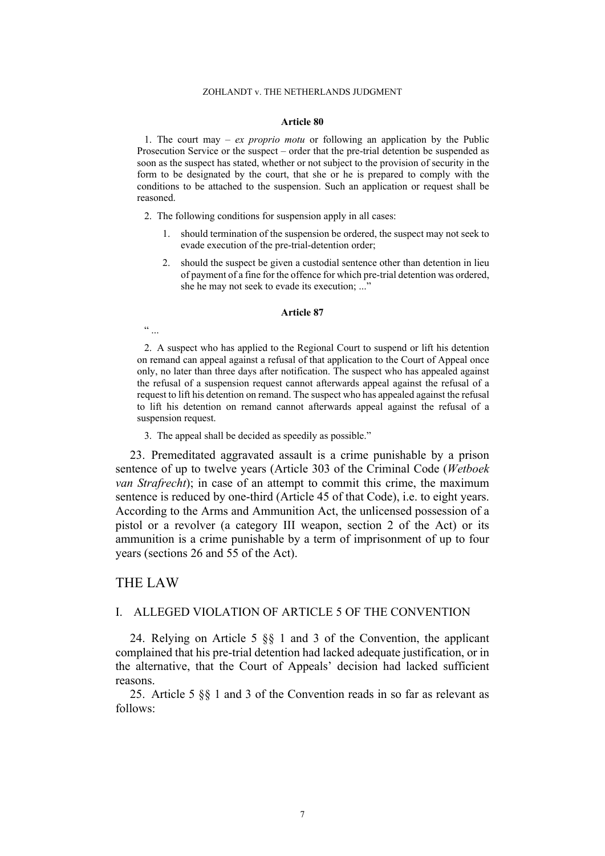#### **Article 80**

1. The court may – *ex proprio motu* or following an application by the Public Prosecution Service or the suspect – order that the pre-trial detention be suspended as soon as the suspect has stated, whether or not subject to the provision of security in the form to be designated by the court, that she or he is prepared to comply with the conditions to be attached to the suspension. Such an application or request shall be reasoned.

- 2. The following conditions for suspension apply in all cases:
	- 1. should termination of the suspension be ordered, the suspect may not seek to evade execution of the pre-trial-detention order;
	- 2. should the suspect be given a custodial sentence other than detention in lieu of payment of a fine for the offence for which pre-trial detention was ordered, she he may not seek to evade its execution; ..."

#### **Article 87**

 $\frac{a}{\cdots}$ 

2. A suspect who has applied to the Regional Court to suspend or lift his detention on remand can appeal against a refusal of that application to the Court of Appeal once only, no later than three days after notification. The suspect who has appealed against the refusal of a suspension request cannot afterwards appeal against the refusal of a request to lift his detention on remand. The suspect who has appealed against the refusal to lift his detention on remand cannot afterwards appeal against the refusal of a suspension request.

3. The appeal shall be decided as speedily as possible."

<span id="page-8-0"></span>23. Premeditated aggravated assault is a crime punishable by a prison sentence of up to twelve years (Article 303 of the Criminal Code (*Wetboek van Strafrecht*); in case of an attempt to commit this crime, the maximum sentence is reduced by one-third (Article 45 of that Code), i.e. to eight years. According to the Arms and Ammunition Act, the unlicensed possession of a pistol or a revolver (a category III weapon, section 2 of the Act) or its ammunition is a crime punishable by a term of imprisonment of up to four years (sections 26 and 55 of the Act).

### THE LAW

# I. ALLEGED VIOLATION OF ARTICLE 5 OF THE CONVENTION

24. Relying on Article 5 §§ 1 and 3 of the Convention, the applicant complained that his pre-trial detention had lacked adequate justification, or in the alternative, that the Court of Appeals' decision had lacked sufficient reasons.

25. Article 5 §§ 1 and 3 of the Convention reads in so far as relevant as follows: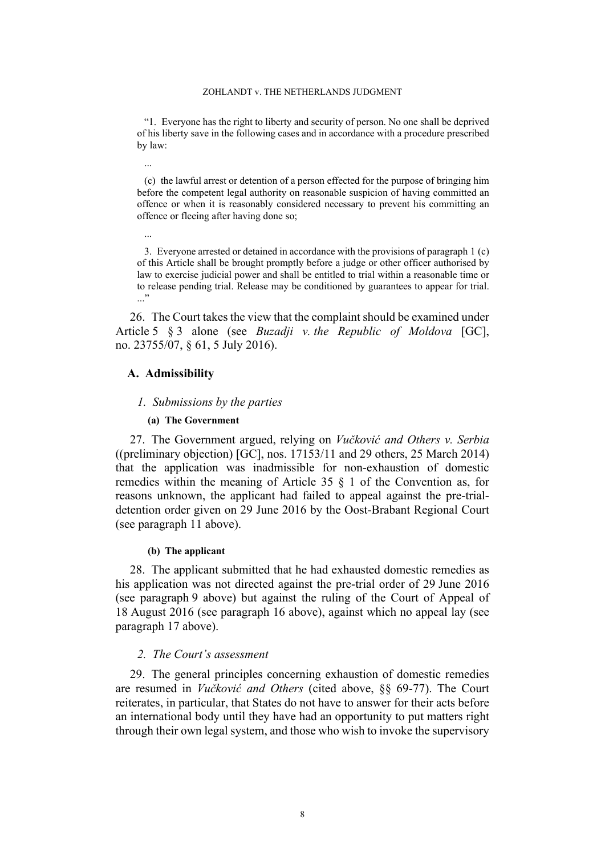"1. Everyone has the right to liberty and security of person. No one shall be deprived of his liberty save in the following cases and in accordance with a procedure prescribed by law:

(c) the lawful arrest or detention of a person effected for the purpose of bringing him before the competent legal authority on reasonable suspicion of having committed an offence or when it is reasonably considered necessary to prevent his committing an offence or fleeing after having done so;

3. Everyone arrested or detained in accordance with the provisions of paragraph 1 (c) of this Article shall be brought promptly before a judge or other officer authorised by law to exercise judicial power and shall be entitled to trial within a reasonable time or to release pending trial. Release may be conditioned by guarantees to appear for trial. ..."

26. The Court takes the view that the complaint should be examined under Article 5 § 3 alone (see *Buzadji v. the Republic of Moldova* [GC], no. 23755/07, § 61, 5 July 2016).

## **A. Admissibility**

...

...

#### *1. Submissions by the parties*

### **(a) The Government**

27. The Government argued, relying on *Vučković and Others v. Serbia* ((preliminary objection) [GC], nos. 17153/11 and 29 others, 25 March 2014) that the application was inadmissible for non-exhaustion of domestic remedies within the meaning of Article 35 § 1 of the Convention as, for reasons unknown, the applicant had failed to appeal against the pre-trialdetention order given on 29 June 2016 by the Oost-Brabant Regional Court (see paragraph [11](#page-4-1) above).

#### **(b) The applicant**

<span id="page-9-0"></span>28. The applicant submitted that he had exhausted domestic remedies as his application was not directed against the pre-trial order of 29 June 2016 (see paragraph [9](#page-4-0) above) but against the ruling of the Court of Appeal of 18 August 2016 (see paragraph [16](#page-5-0) above), against which no appeal lay (see paragraph [17](#page-6-0) above).

### *2. The Court's assessment*

29. The general principles concerning exhaustion of domestic remedies are resumed in *Vučković and Others* (cited above, §§ 69-77). The Court reiterates, in particular, that States do not have to answer for their acts before an international body until they have had an opportunity to put matters right through their own legal system, and those who wish to invoke the supervisory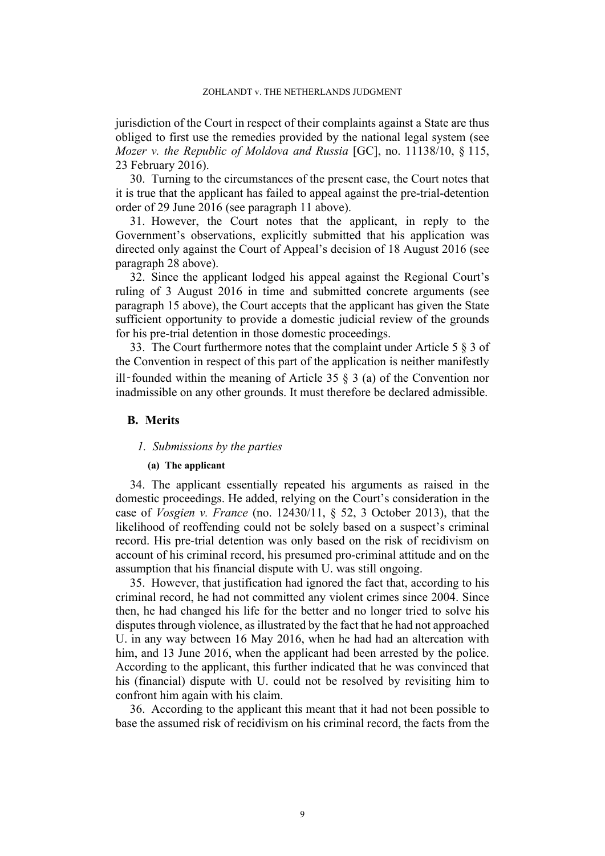jurisdiction of the Court in respect of their complaints against a State are thus obliged to first use the remedies provided by the national legal system (see *Mozer v. the Republic of Moldova and Russia* [GC], no. 11138/10, § 115, 23 February 2016).

30. Turning to the circumstances of the present case, the Court notes that it is true that the applicant has failed to appeal against the pre-trial-detention order of 29 June 2016 (see paragraph [11](#page-4-1) above).

31. However, the Court notes that the applicant, in reply to the Government's observations, explicitly submitted that his application was directed only against the Court of Appeal's decision of 18 August 2016 (see paragraph [28](#page-9-0) above).

32. Since the applicant lodged his appeal against the Regional Court's ruling of 3 August 2016 in time and submitted concrete arguments (see paragraph [15](#page-5-1) above), the Court accepts that the applicant has given the State sufficient opportunity to provide a domestic judicial review of the grounds for his pre-trial detention in those domestic proceedings.

33. The Court furthermore notes that the complaint under Article 5 § 3 of the Convention in respect of this part of the application is neither manifestly ill–founded within the meaning of Article 35  $\S$  3 (a) of the Convention nor inadmissible on any other grounds. It must therefore be declared admissible.

### **B. Merits**

#### *1. Submissions by the parties*

### **(a) The applicant**

34. The applicant essentially repeated his arguments as raised in the domestic proceedings. He added, relying on the Court's consideration in the case of *Vosgien v. France* (no. 12430/11, § 52, 3 October 2013), that the likelihood of reoffending could not be solely based on a suspect's criminal record. His pre-trial detention was only based on the risk of recidivism on account of his criminal record, his presumed pro-criminal attitude and on the assumption that his financial dispute with U. was still ongoing.

35. However, that justification had ignored the fact that, according to his criminal record, he had not committed any violent crimes since 2004. Since then, he had changed his life for the better and no longer tried to solve his disputes through violence, as illustrated by the fact that he had not approached U. in any way between 16 May 2016, when he had had an altercation with him, and 13 June 2016, when the applicant had been arrested by the police. According to the applicant, this further indicated that he was convinced that his (financial) dispute with U. could not be resolved by revisiting him to confront him again with his claim.

36. According to the applicant this meant that it had not been possible to base the assumed risk of recidivism on his criminal record, the facts from the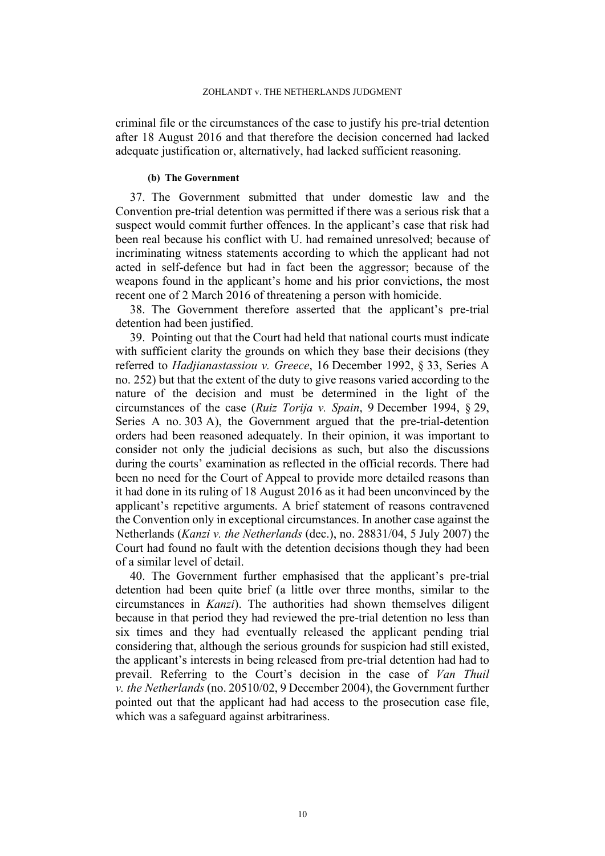criminal file or the circumstances of the case to justify his pre-trial detention after 18 August 2016 and that therefore the decision concerned had lacked adequate justification or, alternatively, had lacked sufficient reasoning.

#### **(b) The Government**

37. The Government submitted that under domestic law and the Convention pre-trial detention was permitted if there was a serious risk that a suspect would commit further offences. In the applicant's case that risk had been real because his conflict with U. had remained unresolved; because of incriminating witness statements according to which the applicant had not acted in self-defence but had in fact been the aggressor; because of the weapons found in the applicant's home and his prior convictions, the most recent one of 2 March 2016 of threatening a person with homicide.

38. The Government therefore asserted that the applicant's pre-trial detention had been justified.

<span id="page-11-0"></span>39. Pointing out that the Court had held that national courts must indicate with sufficient clarity the grounds on which they base their decisions (they referred to *Hadjianastassiou v. Greece*, 16 December 1992, § 33, Series A no. 252) but that the extent of the duty to give reasons varied according to the nature of the decision and must be determined in the light of the circumstances of the case (*Ruiz Torija v. Spain*, 9 December 1994, § 29, Series A no. 303 A), the Government argued that the pre-trial-detention orders had been reasoned adequately. In their opinion, it was important to consider not only the judicial decisions as such, but also the discussions during the courts' examination as reflected in the official records. There had been no need for the Court of Appeal to provide more detailed reasons than it had done in its ruling of 18 August 2016 as it had been unconvinced by the applicant's repetitive arguments. A brief statement of reasons contravened the Convention only in exceptional circumstances. In another case against the Netherlands (*Kanzi v. the Netherlands* (dec.), no. 28831/04, 5 July 2007) the Court had found no fault with the detention decisions though they had been of a similar level of detail.

40. The Government further emphasised that the applicant's pre-trial detention had been quite brief (a little over three months, similar to the circumstances in *Kanzi*). The authorities had shown themselves diligent because in that period they had reviewed the pre-trial detention no less than six times and they had eventually released the applicant pending trial considering that, although the serious grounds for suspicion had still existed, the applicant's interests in being released from pre-trial detention had had to prevail. Referring to the Court's decision in the case of *Van Thuil v. the Netherlands* (no. 20510/02, 9 December 2004), the Government further pointed out that the applicant had had access to the prosecution case file, which was a safeguard against arbitrariness.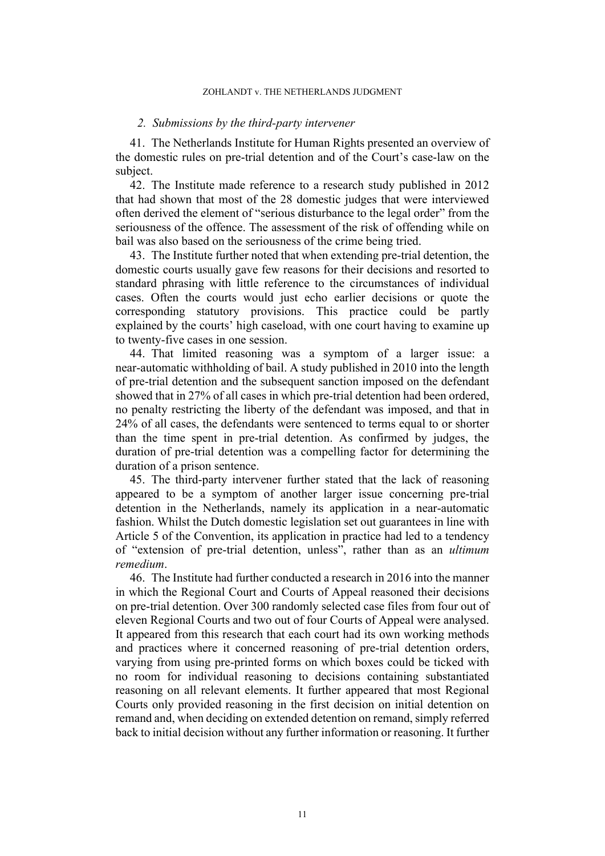#### *2. Submissions by the third-party intervener*

41. The Netherlands Institute for Human Rights presented an overview of the domestic rules on pre-trial detention and of the Court's case-law on the subject.

42. The Institute made reference to a research study published in 2012 that had shown that most of the 28 domestic judges that were interviewed often derived the element of "serious disturbance to the legal order" from the seriousness of the offence. The assessment of the risk of offending while on bail was also based on the seriousness of the crime being tried.

43. The Institute further noted that when extending pre-trial detention, the domestic courts usually gave few reasons for their decisions and resorted to standard phrasing with little reference to the circumstances of individual cases. Often the courts would just echo earlier decisions or quote the corresponding statutory provisions. This practice could be partly explained by the courts' high caseload, with one court having to examine up to twenty-five cases in one session.

44. That limited reasoning was a symptom of a larger issue: a near-automatic withholding of bail. A study published in 2010 into the length of pre-trial detention and the subsequent sanction imposed on the defendant showed that in 27% of all cases in which pre-trial detention had been ordered, no penalty restricting the liberty of the defendant was imposed, and that in 24% of all cases, the defendants were sentenced to terms equal to or shorter than the time spent in pre-trial detention. As confirmed by judges, the duration of pre-trial detention was a compelling factor for determining the duration of a prison sentence.

45. The third-party intervener further stated that the lack of reasoning appeared to be a symptom of another larger issue concerning pre-trial detention in the Netherlands, namely its application in a near-automatic fashion. Whilst the Dutch domestic legislation set out guarantees in line with Article 5 of the Convention, its application in practice had led to a tendency of "extension of pre-trial detention, unless", rather than as an *ultimum remedium*.

46. The Institute had further conducted a research in 2016 into the manner in which the Regional Court and Courts of Appeal reasoned their decisions on pre-trial detention. Over 300 randomly selected case files from four out of eleven Regional Courts and two out of four Courts of Appeal were analysed. It appeared from this research that each court had its own working methods and practices where it concerned reasoning of pre-trial detention orders, varying from using pre-printed forms on which boxes could be ticked with no room for individual reasoning to decisions containing substantiated reasoning on all relevant elements. It further appeared that most Regional Courts only provided reasoning in the first decision on initial detention on remand and, when deciding on extended detention on remand, simply referred back to initial decision without any further information or reasoning. It further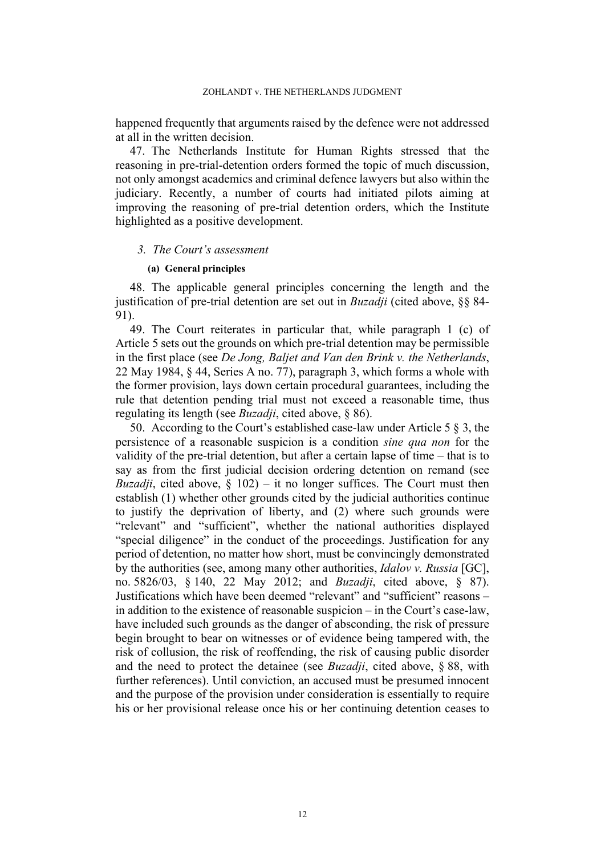happened frequently that arguments raised by the defence were not addressed at all in the written decision.

47. The Netherlands Institute for Human Rights stressed that the reasoning in pre-trial-detention orders formed the topic of much discussion, not only amongst academics and criminal defence lawyers but also within the judiciary. Recently, a number of courts had initiated pilots aiming at improving the reasoning of pre-trial detention orders, which the Institute highlighted as a positive development.

### *3. The Court's assessment*

#### **(a) General principles**

48. The applicable general principles concerning the length and the justification of pre-trial detention are set out in *Buzadji* (cited above, §§ 84- 91).

49. The Court reiterates in particular that, while paragraph 1 (c) of Article 5 sets out the grounds on which pre-trial detention may be permissible in the first place (see *De Jong, Baljet and Van den Brink v. the Netherlands*, 22 May 1984, § 44, Series A no. 77), paragraph 3, which forms a whole with the former provision, lays down certain procedural guarantees, including the rule that detention pending trial must not exceed a reasonable time, thus regulating its length (see *Buzadji*, cited above, § 86).

50. According to the Court's established case-law under Article 5 § 3, the persistence of a reasonable suspicion is a condition *sine qua non* for the validity of the pre-trial detention, but after a certain lapse of time – that is to say as from the first judicial decision ordering detention on remand (see *Buzadji*, cited above,  $\S$  102) – it no longer suffices. The Court must then establish (1) whether other grounds cited by the judicial authorities continue to justify the deprivation of liberty, and (2) where such grounds were "relevant" and "sufficient", whether the national authorities displayed "special diligence" in the conduct of the proceedings. Justification for any period of detention, no matter how short, must be convincingly demonstrated by the authorities (see, among many other authorities, *Idalov v. Russia* [GC], no. 5826/03, § 140, 22 May 2012; and *Buzadji*, cited above, § 87). Justifications which have been deemed "relevant" and "sufficient" reasons – in addition to the existence of reasonable suspicion – in the Court's case-law, have included such grounds as the danger of absconding, the risk of pressure begin brought to bear on witnesses or of evidence being tampered with, the risk of collusion, the risk of reoffending, the risk of causing public disorder and the need to protect the detainee (see *Buzadji*, cited above, § 88, with further references). Until conviction, an accused must be presumed innocent and the purpose of the provision under consideration is essentially to require his or her provisional release once his or her continuing detention ceases to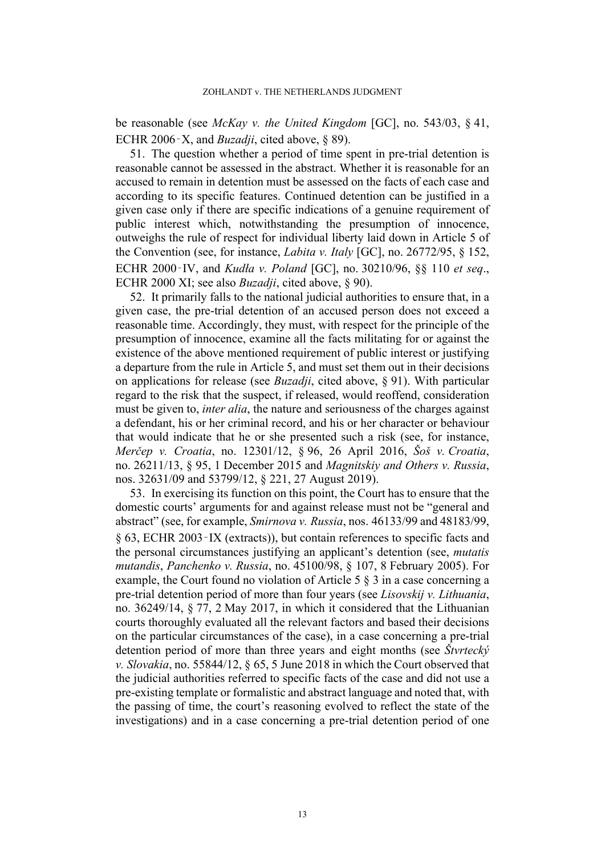be reasonable (see *McKay v. the United Kingdom* [GC], no. 543/03, § 41, ECHR 2006‑X, and *Buzadji*, cited above, § 89).

51. The question whether a period of time spent in pre-trial detention is reasonable cannot be assessed in the abstract. Whether it is reasonable for an accused to remain in detention must be assessed on the facts of each case and according to its specific features. Continued detention can be justified in a given case only if there are specific indications of a genuine requirement of public interest which, notwithstanding the presumption of innocence, outweighs the rule of respect for individual liberty laid down in Article 5 of the Convention (see, for instance, *Labita v. Italy* [GC], no. 26772/95, § 152, ECHR 2000‑IV, and *Kudła v. Poland* [GC], no. 30210/96, §§ 110 *et seq*., ECHR 2000 XI; see also *Buzadji*, cited above, § 90).

52. It primarily falls to the national judicial authorities to ensure that, in a given case, the pre-trial detention of an accused person does not exceed a reasonable time. Accordingly, they must, with respect for the principle of the presumption of innocence, examine all the facts militating for or against the existence of the above mentioned requirement of public interest or justifying a departure from the rule in Article 5, and must set them out in their decisions on applications for release (see *Buzadji*, cited above, § 91). With particular regard to the risk that the suspect, if released, would reoffend, consideration must be given to, *inter alia*, the nature and seriousness of the charges against a defendant, his or her criminal record, and his or her character or behaviour that would indicate that he or she presented such a risk (see, for instance, *Merčep v. Croatia*, no. 12301/12, § 96, 26 April 2016, *Šoš v. Croatia*, no. 26211/13, § 95, 1 December 2015 and *Magnitskiy and Others v. Russia*, nos. 32631/09 and 53799/12, § 221, 27 August 2019).

53. In exercising its function on this point, the Court has to ensure that the domestic courts' arguments for and against release must not be "general and abstract" (see, for example, *Smirnova v. Russia*, nos. 46133/99 and 48183/99, § 63, ECHR 2003‑IX (extracts)), but contain references to specific facts and the personal circumstances justifying an applicant's detention (see, *mutatis mutandis*, *Panchenko v. Russia*, no. 45100/98, § 107, 8 February 2005). For example, the Court found no violation of Article 5 § 3 in a case concerning a pre-trial detention period of more than four years (see *Lisovskij v. Lithuania*, no. 36249/14, § 77, 2 May 2017, in which it considered that the Lithuanian courts thoroughly evaluated all the relevant factors and based their decisions on the particular circumstances of the case), in a case concerning a pre-trial detention period of more than three years and eight months (see *Štvrtecký v. Slovakia*, no. 55844/12, § 65, 5 June 2018 in which the Court observed that the judicial authorities referred to specific facts of the case and did not use a pre-existing template or formalistic and abstract language and noted that, with the passing of time, the court's reasoning evolved to reflect the state of the investigations) and in a case concerning a pre-trial detention period of one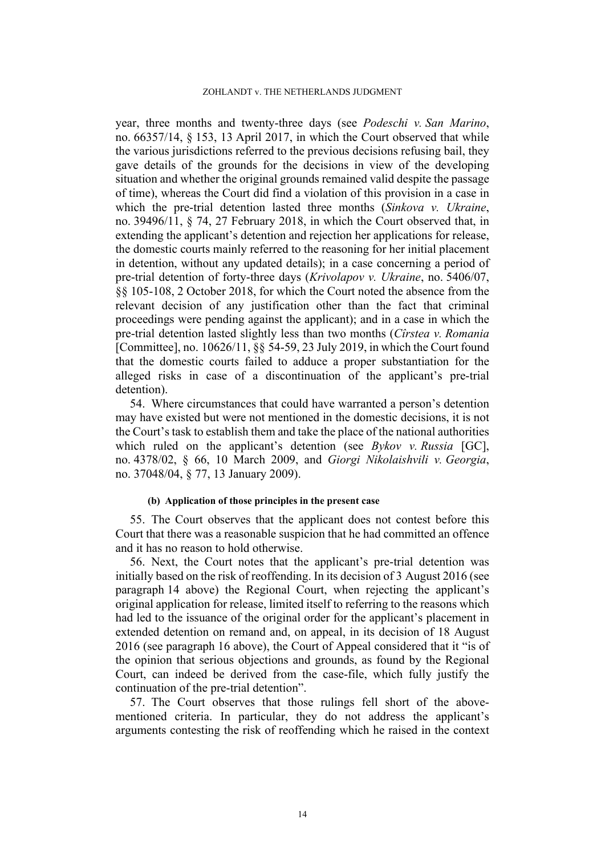year, three months and twenty-three days (see *Podeschi v. San Marino*, no. 66357/14, § 153, 13 April 2017, in which the Court observed that while the various jurisdictions referred to the previous decisions refusing bail, they gave details of the grounds for the decisions in view of the developing situation and whether the original grounds remained valid despite the passage of time), whereas the Court did find a violation of this provision in a case in which the pre-trial detention lasted three months (*Sinkova v. Ukraine*, no. 39496/11, § 74, 27 February 2018, in which the Court observed that, in extending the applicant's detention and rejection her applications for release, the domestic courts mainly referred to the reasoning for her initial placement in detention, without any updated details); in a case concerning a period of pre-trial detention of forty-three days (*Krivolapov v. Ukraine*, no. 5406/07, §§ 105-108, 2 October 2018, for which the Court noted the absence from the relevant decision of any justification other than the fact that criminal proceedings were pending against the applicant); and in a case in which the pre-trial detention lasted slightly less than two months (*Cîrstea v. Romania* [Committee], no. 10626/11, §§ 54-59, 23 July 2019, in which the Court found that the domestic courts failed to adduce a proper substantiation for the alleged risks in case of a discontinuation of the applicant's pre-trial detention).

54. Where circumstances that could have warranted a person's detention may have existed but were not mentioned in the domestic decisions, it is not the Court's task to establish them and take the place of the national authorities which ruled on the applicant's detention (see *Bykov v. Russia* [GC], no. 4378/02, § 66, 10 March 2009, and *Giorgi Nikolaishvili v. Georgia*, no. 37048/04, § 77, 13 January 2009).

#### **(b) Application of those principles in the present case**

55. The Court observes that the applicant does not contest before this Court that there was a reasonable suspicion that he had committed an offence and it has no reason to hold otherwise.

56. Next, the Court notes that the applicant's pre-trial detention was initially based on the risk of reoffending. In its decision of 3 August 2016 (see paragraph [14](#page-5-2) above) the Regional Court, when rejecting the applicant's original application for release, limited itself to referring to the reasons which had led to the issuance of the original order for the applicant's placement in extended detention on remand and, on appeal, in its decision of 18 August 2016 (see paragraph [16](#page-5-0) above), the Court of Appeal considered that it "is of the opinion that serious objections and grounds, as found by the Regional Court, can indeed be derived from the case-file, which fully justify the continuation of the pre-trial detention".

57. The Court observes that those rulings fell short of the abovementioned criteria. In particular, they do not address the applicant's arguments contesting the risk of reoffending which he raised in the context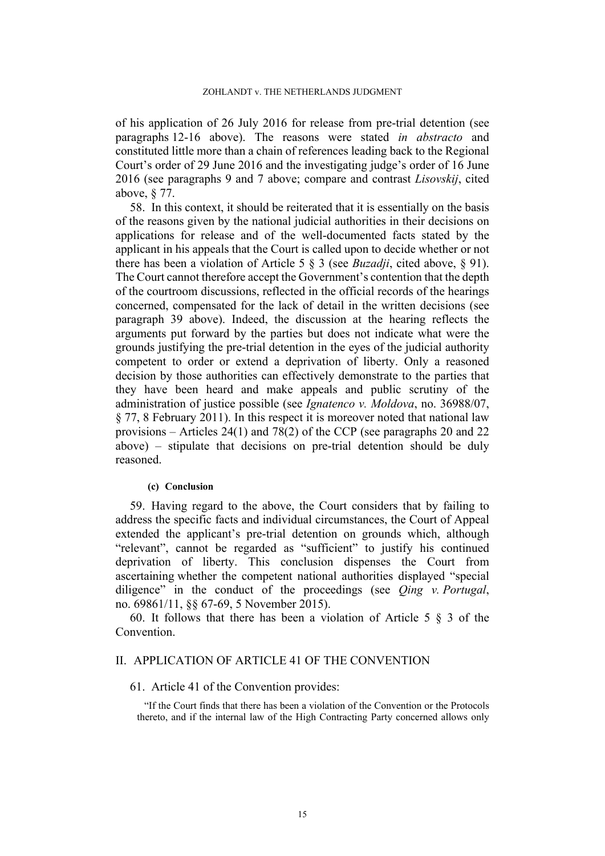of his application of 26 July 2016 for release from pre-trial detention (see paragraphs [12](#page-4-2)[-16](#page-5-0) above). The reasons were stated *in abstracto* and constituted little more than a chain of references leading back to the Regional Court's order of 29 June 2016 and the investigating judge's order of 16 June 2016 (see paragraphs [9](#page-4-0) and [7](#page-3-0) above; compare and contrast *Lisovskij*, cited above, § 77.

58. In this context, it should be reiterated that it is essentially on the basis of the reasons given by the national judicial authorities in their decisions on applications for release and of the well-documented facts stated by the applicant in his appeals that the Court is called upon to decide whether or not there has been a violation of Article 5 § 3 (see *Buzadji*, cited above, § 91). The Court cannot therefore accept the Government's contention that the depth of the courtroom discussions, reflected in the official records of the hearings concerned, compensated for the lack of detail in the written decisions (see paragraph [39](#page-11-0) above). Indeed, the discussion at the hearing reflects the arguments put forward by the parties but does not indicate what were the grounds justifying the pre-trial detention in the eyes of the judicial authority competent to order or extend a deprivation of liberty. Only a reasoned decision by those authorities can effectively demonstrate to the parties that they have been heard and make appeals and public scrutiny of the administration of justice possible (see *Ignatenco v. Moldova*, no. 36988/07, § 77, 8 February 2011). In this respect it is moreover noted that national law provisions – Articles 24(1) and 78(2) of the CCP (see paragraphs [20](#page-6-1) and [22](#page-7-0) above) – stipulate that decisions on pre-trial detention should be duly reasoned.

### **(c) Conclusion**

59. Having regard to the above, the Court considers that by failing to address the specific facts and individual circumstances, the Court of Appeal extended the applicant's pre-trial detention on grounds which, although "relevant", cannot be regarded as "sufficient" to justify his continued deprivation of liberty. This conclusion dispenses the Court from ascertaining whether the competent national authorities displayed "special diligence" in the conduct of the proceedings (see *Qing v. Portugal*, no. 69861/11, §§ 67-69, 5 November 2015).

60. It follows that there has been a violation of Article 5 § 3 of the Convention.

### II. APPLICATION OF ARTICLE 41 OF THE CONVENTION

### 61. Article 41 of the Convention provides:

"If the Court finds that there has been a violation of the Convention or the Protocols thereto, and if the internal law of the High Contracting Party concerned allows only